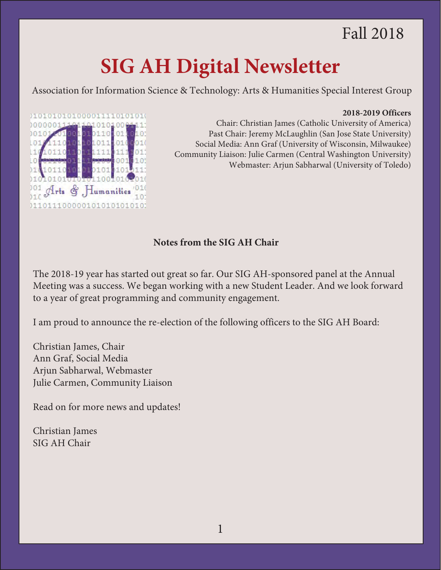# Fall 2018

# **SIG AH Digital Newsletter**

Association for Information Science & Technology: Arts & Humanities Special Interest Group

#### **2018-2019 Officers**



Chair: Christian James (Catholic University of America) Past Chair: Jeremy McLaughlin (San Jose State University) Social Media: Ann Graf (University of Wisconsin, Milwaukee) Community Liaison: Julie Carmen (Central Washington University) Webmaster: Arjun Sabharwal (University of Toledo)

# **Notes from the SIG AH Chair**

The 2018-19 year has started out great so far. Our SIG AH-sponsored panel at the Annual Meeting was a success. We began working with a new Student Leader. And we look forward to a year of great programming and community engagement.

I am proud to announce the re-election of the following officers to the SIG AH Board:

[Christian James, Chair](http://www.asis.org/SIG/SIGAH/2018/02/12/2018-virtual-symposium/) Ann Graf, Social Media Arjun Sabharwal, Webmaster Julie Carmen, Community Liaison

Read on for more news and updates!

Christian James SIG [AH Chair](https://docs.google.com/forms/d/e/1FAIpQLSchRo-A8WGIAJwHHWgUq4TIPWBpRHnuVk-nZ4u-ulj9VeOnGg/viewform)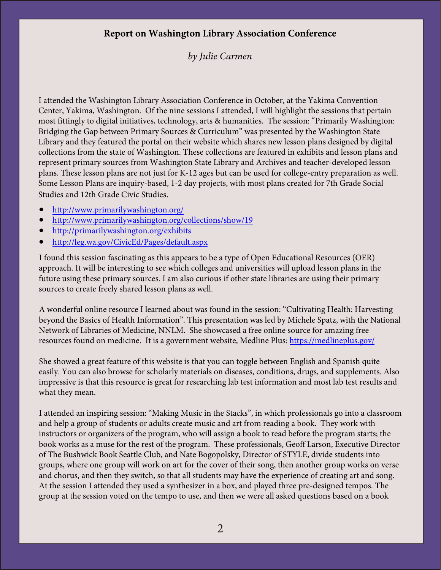# **Report on Washington Library Association Conference**

# *by Julie Carmen*

I attended the Washington Library Association Conference in October, at the Yakima Convention Center, Yakima, Washington. Of the nine sessions I attended, I will highlight the sessions that pertain most fittingly to digital initiatives, technology, arts & humanities. The session: "Primarily Washington: Bridging the Gap between Primary Sources & Curriculum" was presented by the Washington State Library and they featured the portal on their website which shares new lesson plans designed by digital collections from the state of Washington. These collections are featured in exhibits and lesson plans and represent primary sources from Washington State Library and Archives and teacher-developed lesson plans. These lesson plans are not just for K-12 ages but can be used for college-entry preparation as well. Some Lesson Plans are inquiry-based, 1-2 day projects, with most plans created for 7th Grade Social Studies and 12th Grade Civic Studies.

- <http://www.primarilywashington.org/>
- <http://www.primarilywashington.org/collections/show/19>
- <http://primarilywashington.org/exhibits>
- <http://leg.wa.gov/CivicEd/Pages/default.aspx>

I found this session fascinating as this appears to be a type of Open Educational Resources (OER) approach. It will be interesting to see which colleges and universities will upload lesson plans in the future using these primary sources. I am also curious if other state libraries are using their primary sources to create freely shared lesson plans as well.

A wonderful online resource I learned about was found in the session: "Cultivating Health: Harvesting beyond the Basics of Health Information". This presentation was led by Michele Spatz, with the National Network of Libraries of Medicine, NNLM. She showcased a free online source for amazing free resources found on medicine. It is a government website, Medline Plus:<https://medlineplus.gov/>

She showed a great feature of this website is that you can toggle between English and Spanish quite easily. You can also browse for scholarly materials on diseases, conditions, drugs, and supplements. Also impressive is that this resource is great for researching lab test information and most lab test results and what they mean.

I attended an inspiring session: "Making Music in the Stacks", in which professionals go into a classroom and help a group of students or adults create music and art from reading a book. They work with instructors or organizers of the program, who will assign a book to read before the program starts; the book works as a muse for the rest of the program. These professionals, Geoff Larson, Executive Director of The Bushwick Book Seattle Club, and Nate Bogopolsky, Director of STYLE, divide students into groups, where one group will work on art for the cover of their song, then another group works on verse and chorus, and then they switch, so that all students may have the experience of creating art and song. At the session I attended they used a synthesizer in a box, and played three pre-designed tempos. The group at the session voted on the tempo to use, and then we were all asked questions based on a book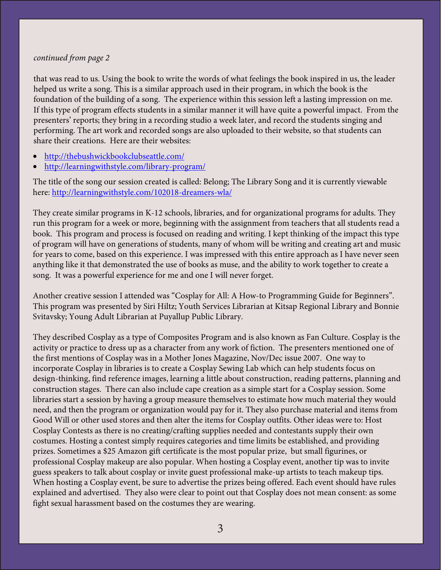#### *continued from page 2*

that was read to us. Using the book to write the words of what feelings the book inspired in us, the leader helped us write a song. This is a similar approach used in their program, in which the book is the foundation of the building of a song. The experience within this session left a lasting impression on me. If this type of program effects students in a similar manner it will have quite a powerful impact. From the presenters' reports; they bring in a recording studio a week later, and record the students singing and performing. The art work and recorded songs are also uploaded to their website, so that students can share their creations. Here are their websites:

- <http://thebushwickbookclubseattle.com/>
- <http://learningwithstyle.com/library-program/>

The title of the song our session created is called: Belong; The Library Song and it is currently viewable here:<http://learningwithstyle.com/102018-dreamers-wla/>

They create similar programs in K-12 schools, libraries, and for organizational programs for adults. They run this program for a week or more, beginning with the assignment from teachers that all students read a book. This program and process is focused on reading and writing. I kept thinking of the impact this type of program will have on generations of students, many of whom will be writing and creating art and music for years to come, based on this experience. I was impressed with this entire approach as I have never seen anything like it that demonstrated the use of books as muse, and the ability to work together to create a song. It was a powerful experience for me and one I will never forget.

Another creative session I attended was "Cosplay for All: A How-to Programming Guide for Beginners". This program was presented by Siri Hiltz; Youth Services Librarian at Kitsap Regional Library and Bonnie Svitavsky; Young Adult Librarian at Puyallup Public Library.

They described Cosplay as a type of Composites Program and is also known as Fan Culture. Cosplay is the activity or practice to dress up as a character from any work of fiction. The presenters mentioned one of the first mentions of Cosplay was in a Mother Jones Magazine, Nov/Dec issue 2007. One way to incorporate Cosplay in libraries is to create a Cosplay Sewing Lab which can help students focus on design-thinking, find reference images, learning a little about construction, reading patterns, planning and construction stages. There can also include cape creation as a simple start for a Cosplay session. Some libraries start a session by having a group measure themselves to estimate how much material they would need, and then the program or organization would pay for it. They also purchase material and items from Good Will or other used stores and then alter the items for Cosplay outfits. Other ideas were to: Host Cosplay Contests as there is no creating/crafting supplies needed and contestants supply their own costumes. Hosting a contest simply requires categories and time limits be established, and providing prizes. Sometimes a \$25 Amazon gift certificate is the most popular prize, but small figurines, or professional Cosplay makeup are also popular. When hosting a Cosplay event, another tip was to invite guess speakers to talk about cosplay or invite guest professional make-up artists to teach makeup tips. When hosting a Cosplay event, be sure to advertise the prizes being offered. Each event should have rules explained and advertised. They also were clear to point out that Cosplay does not mean consent: as some fight sexual harassment based on the costumes they are wearing.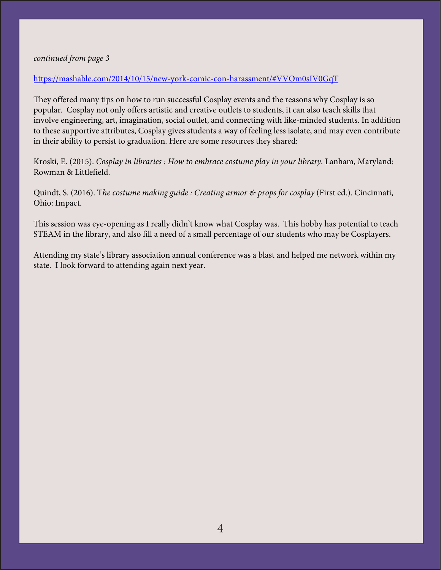#### *continued from page 3*

#### <https://mashable.com/2014/10/15/new-york-comic-con-harassment/#VVOm0sIV0GqT>

They offered many tips on how to run successful Cosplay events and the reasons why Cosplay is so popular. Cosplay not only offers artistic and creative outlets to students, it can also teach skills that involve engineering, art, imagination, social outlet, and connecting with like-minded students. In addition to these supportive attributes, Cosplay gives students a way of feeling less isolate, and may even contribute in their ability to persist to graduation. Here are some resources they shared:

Kroski, E. (2015). *Cosplay in libraries : How to embrace costume play in your library.* Lanham, Maryland: Rowman & Littlefield.

Quindt, S. (2016). T*he costume making guide : Creating armor & props for cosplay* (First ed.). Cincinnati, Ohio: Impact.

This session was eye-opening as I really didn't know what Cosplay was. This hobby has potential to teach STEAM in the library, and also fill a need of a small percentage of our students who may be Cosplayers.

Attending my state's library association annual conference was a blast and helped me network within my state. I look forward to attending again next year.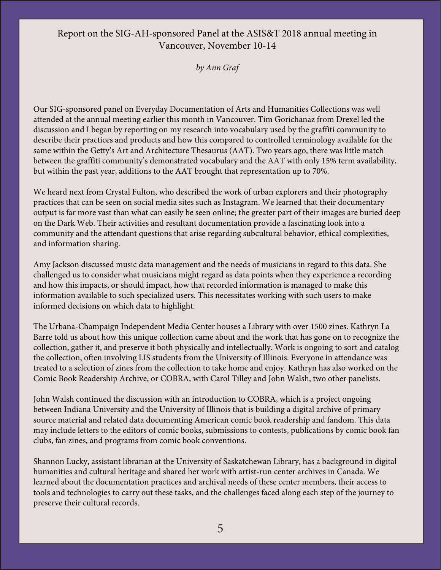### Report on the SIG-AH-sponsored Panel at the ASIS&T 2018 annual meeting in Vancouver, November 10-14

*by Ann Graf*

Our SIG-sponsored panel on Everyday Documentation of Arts and Humanities Collections was well attended at the annual meeting earlier this month in Vancouver. Tim Gorichanaz from Drexel led the discussion and I began by reporting on my research into vocabulary used by the graffiti community to describe their practices and products and how this compared to controlled terminology available for the same within the Getty's Art and Architecture Thesaurus (AAT). Two years ago, there was little match between the graffiti community's demonstrated vocabulary and the AAT with only 15% term availability, but within the past year, additions to the AAT brought that representation up to 70%.

We heard next from Crystal Fulton, who described the work of urban explorers and their photography practices that can be seen on social media sites such as Instagram. We learned that their documentary output is far more vast than what can easily be seen online; the greater part of their images are buried deep on the Dark Web. Their activities and resultant documentation provide a fascinating look into a community and the attendant questions that arise regarding subcultural behavior, ethical complexities, and information sharing.

Amy Jackson discussed music data management and the needs of musicians in regard to this data. She challenged us to consider what musicians might regard as data points when they experience a recording and how this impacts, or should impact, how that recorded information is managed to make this information available to such specialized users. This necessitates working with such users to make informed decisions on which data to highlight.

The Urbana-Champaign Independent Media Center houses a Library with over 1500 zines. Kathryn La Barre told us about how this unique collection came about and the work that has gone on to recognize the collection, gather it, and preserve it both physically and intellectually. Work is ongoing to sort and catalog the collection, often involving LIS students from the University of Illinois. Everyone in attendance was treated to a selection of zines from the collection to take home and enjoy. Kathryn has also worked on the Comic Book Readership Archive, or COBRA, with Carol Tilley and John Walsh, two other panelists.

John Walsh continued the discussion with an introduction to COBRA, which is a project ongoing between Indiana University and the University of Illinois that is building a digital archive of primary source material and related data documenting American comic book readership and fandom. This data may include letters to the editors of comic books, submissions to contests, publications by comic book fan clubs, fan zines, and programs from comic book conventions.

Shannon Lucky, assistant librarian at the University of Saskatchewan Library, has a background in digital humanities and cultural heritage and shared her work with artist-run center archives in Canada. We learned about the documentation practices and archival needs of these center members, their access to tools and technologies to carry out these tasks, and the challenges faced along each step of the journey to preserve their cultural records.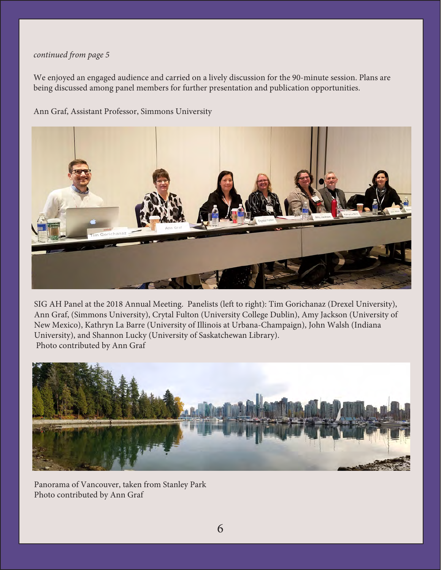#### *continued from page 5*

We enjoyed an engaged audience and carried on a lively discussion for the 90-minute session. Plans are being discussed among panel members for further presentation and publication opportunities.

Ann Graf, Assistant Professor, Simmons University



SIG AH Panel at the 2018 Annual Meeting. Panelists (left to right): Tim Gorichanaz (Drexel University), Ann Graf, (Simmons University), Crytal Fulton (University College Dublin), Amy Jackson (University of New Mexico), Kathryn La Barre (University of Illinois at Urbana-Champaign), John Walsh (Indiana University), and Shannon Lucky (University of Saskatchewan Library). Photo contributed by Ann Graf



Panorama of Vancouver, taken from Stanley Park Photo contributed by Ann Graf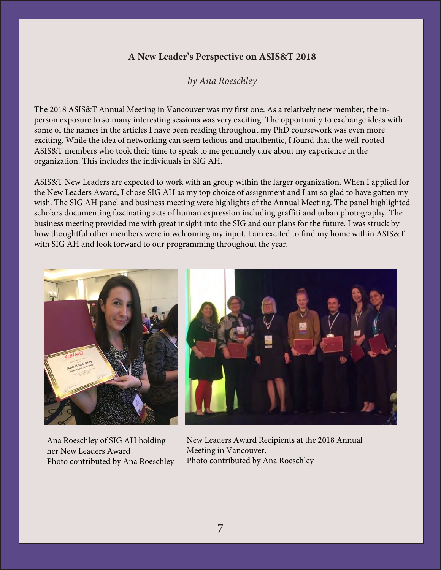# **A New Leader's Perspective on ASIS&T 2018**

*by Ana Roeschley*

The 2018 ASIS&T Annual Meeting in Vancouver was my first one. As a relatively new member, the inperson exposure to so many interesting sessions was very exciting. The opportunity to exchange ideas with some of the names in the articles I have been reading throughout my PhD coursework was even more exciting. While the idea of networking can seem tedious and inauthentic, I found that the well-rooted ASIS&T members who took their time to speak to me genuinely care about my experience in the organization. This includes the individuals in SIG AH.

ASIS&T New Leaders are expected to work with an group within the larger organization. When I applied for the New Leaders Award, I chose SIG AH as my top choice of assignment and I am so glad to have gotten my wish. The SIG AH panel and business meeting were highlights of the Annual Meeting. The panel highlighted scholars documenting fascinating acts of human expression including graffiti and urban photography. The business meeting provided me with great insight into the SIG and our plans for the future. I was struck by how thoughtful other members were in welcoming my input. I am excited to find my home within ASIS&T with SIG AH and look forward to our programming throughout the year.



Ana Roeschley of SIG AH holding her New Leaders Award Photo contributed by Ana Roeschley

New Leaders Award Recipients at the 2018 Annual Meeting in Vancouver. Photo contributed by Ana Roeschley